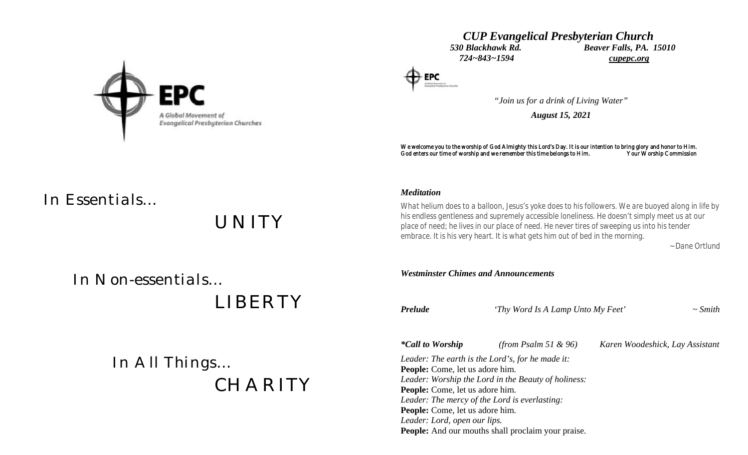

## *CUP Evangelical Presbyterian Church 530 Blackhawk Rd. Beaver Falls, PA. 15010 724~843~1594 cupepc.org*

*"Join us for a drink of Living Water"*

*August 15, 2021*

We welcome you to the worship of God Almighty this Lord's Day. It is our intention to bring glory and honor to Him.<br>God enters our time of worship and we remember this time belongs to Him. Your Worship Commission God enters our time of worship and we remember this time belongs to Him.

# *In Essentials…*

*UNITY*

### *Meditation*

*What helium does to a balloon, Jesus's yoke does to his followers. We are buoyed along in life by his endless gentleness and supremely accessible loneliness. He doesn't simply meet us at our place of need; he lives in our place of need. He never tires of sweeping us into his tender embrace. It is his very heart. It is what gets him out of bed in the morning.*

 *~ Dane Ortlund*

 *In Non-essentials…*

 *LIBERTY*

 *In All Things… CHARITY*

*Westminster Chimes and Announcements Prelude 'Thy Word Is A Lamp Unto My Feet' ~ Smith \*Call to Worship (from Psalm 51 & 96) Karen Woodeshick, Lay Assistant Leader: The earth is the Lord's, for he made it:* **People:** Come, let us adore him. *Leader: Worship the Lord in the Beauty of holiness:* **People:** Come, let us adore him. *Leader: The mercy of the Lord is everlasting:* **People:** Come, let us adore him. *Leader: Lord, open our lips.*

**People:** And our mouths shall proclaim your praise.